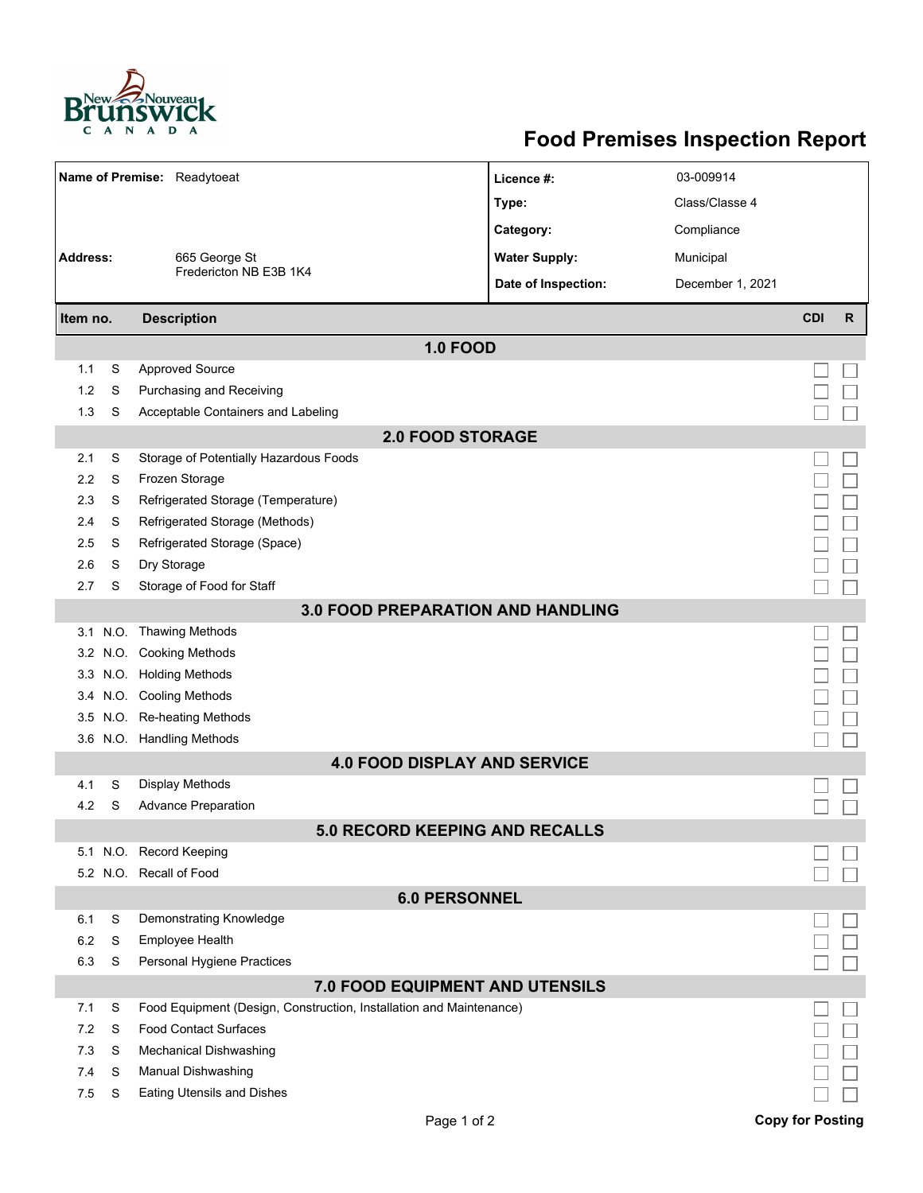

## **Food Premises Inspection Report**

| Name of Premise: Readytoeat              |   |                                                                     | Licence #:                            | 03-009914        |                         |              |  |  |  |  |
|------------------------------------------|---|---------------------------------------------------------------------|---------------------------------------|------------------|-------------------------|--------------|--|--|--|--|
|                                          |   |                                                                     | Type:                                 | Class/Classe 4   |                         |              |  |  |  |  |
|                                          |   |                                                                     | Category:                             | Compliance       |                         |              |  |  |  |  |
| <b>Address:</b>                          |   | 665 George St                                                       | <b>Water Supply:</b>                  | Municipal        |                         |              |  |  |  |  |
|                                          |   | Fredericton NB E3B 1K4                                              | Date of Inspection:                   | December 1, 2021 |                         |              |  |  |  |  |
|                                          |   |                                                                     |                                       |                  |                         |              |  |  |  |  |
| Item no.                                 |   | <b>Description</b>                                                  |                                       |                  | <b>CDI</b>              | $\mathsf{R}$ |  |  |  |  |
|                                          |   |                                                                     | <b>1.0 FOOD</b>                       |                  |                         |              |  |  |  |  |
| 1.1                                      | S | <b>Approved Source</b>                                              |                                       |                  |                         |              |  |  |  |  |
| 1.2                                      | S | Purchasing and Receiving                                            |                                       |                  |                         |              |  |  |  |  |
| 1.3                                      | S | Acceptable Containers and Labeling                                  |                                       |                  |                         |              |  |  |  |  |
| <b>2.0 FOOD STORAGE</b>                  |   |                                                                     |                                       |                  |                         |              |  |  |  |  |
| 2.1                                      | S | Storage of Potentially Hazardous Foods                              |                                       |                  |                         |              |  |  |  |  |
| 2.2                                      | S | Frozen Storage                                                      |                                       |                  |                         |              |  |  |  |  |
| 2.3                                      | S | Refrigerated Storage (Temperature)                                  |                                       |                  |                         |              |  |  |  |  |
| 2.4                                      | S | Refrigerated Storage (Methods)                                      |                                       |                  |                         |              |  |  |  |  |
| 2.5                                      | S | Refrigerated Storage (Space)                                        |                                       |                  |                         |              |  |  |  |  |
| 2.6                                      | S | Dry Storage                                                         |                                       |                  |                         |              |  |  |  |  |
| 2.7                                      | S | Storage of Food for Staff                                           |                                       |                  |                         |              |  |  |  |  |
| <b>3.0 FOOD PREPARATION AND HANDLING</b> |   |                                                                     |                                       |                  |                         |              |  |  |  |  |
|                                          |   | 3.1 N.O. Thawing Methods                                            |                                       |                  |                         |              |  |  |  |  |
|                                          |   | 3.2 N.O. Cooking Methods                                            |                                       |                  |                         |              |  |  |  |  |
|                                          |   | 3.3 N.O. Holding Methods                                            |                                       |                  |                         |              |  |  |  |  |
|                                          |   | 3.4 N.O. Cooling Methods                                            |                                       |                  |                         |              |  |  |  |  |
| 3.5                                      |   | N.O. Re-heating Methods                                             |                                       |                  |                         |              |  |  |  |  |
|                                          |   | 3.6 N.O. Handling Methods                                           |                                       |                  |                         |              |  |  |  |  |
|                                          |   |                                                                     | <b>4.0 FOOD DISPLAY AND SERVICE</b>   |                  |                         |              |  |  |  |  |
| 4.1                                      | S | Display Methods                                                     |                                       |                  |                         |              |  |  |  |  |
| 4.2                                      | S | <b>Advance Preparation</b>                                          |                                       |                  |                         |              |  |  |  |  |
|                                          |   |                                                                     | <b>5.0 RECORD KEEPING AND RECALLS</b> |                  |                         |              |  |  |  |  |
|                                          |   | 5.1 N.O. Record Keeping                                             |                                       |                  |                         |              |  |  |  |  |
|                                          |   | 5.2 N.O. Recall of Food                                             |                                       |                  |                         |              |  |  |  |  |
|                                          |   |                                                                     | <b>6.0 PERSONNEL</b>                  |                  |                         |              |  |  |  |  |
| 6.1                                      | S | Demonstrating Knowledge                                             |                                       |                  |                         |              |  |  |  |  |
| 6.2                                      | S | Employee Health                                                     |                                       |                  |                         |              |  |  |  |  |
| 6.3                                      | S | Personal Hygiene Practices                                          |                                       |                  |                         |              |  |  |  |  |
| 7.0 FOOD EQUIPMENT AND UTENSILS          |   |                                                                     |                                       |                  |                         |              |  |  |  |  |
| 7.1                                      | S | Food Equipment (Design, Construction, Installation and Maintenance) |                                       |                  |                         |              |  |  |  |  |
| 7.2                                      | S | <b>Food Contact Surfaces</b>                                        |                                       |                  |                         |              |  |  |  |  |
| 7.3                                      | S | <b>Mechanical Dishwashing</b>                                       |                                       |                  |                         |              |  |  |  |  |
| 7.4                                      | S | Manual Dishwashing                                                  |                                       |                  |                         |              |  |  |  |  |
| 7.5                                      | S | <b>Eating Utensils and Dishes</b>                                   |                                       |                  |                         |              |  |  |  |  |
|                                          |   |                                                                     | Page 1 of 2                           |                  | <b>Copy for Posting</b> |              |  |  |  |  |